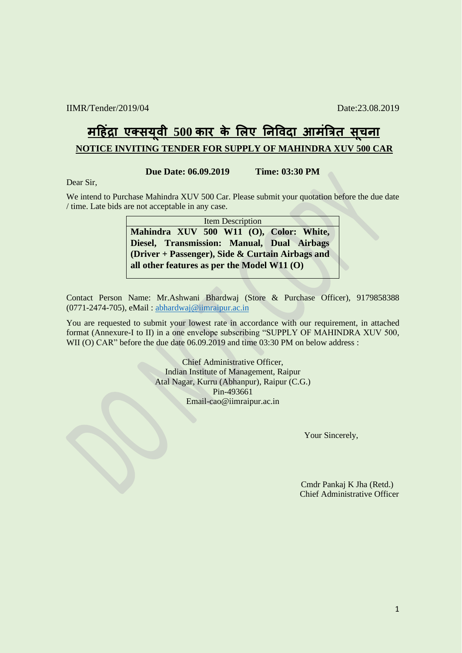## **मह द्रिं ा एक्सय ू वी 500 कार के लिए निववदा आमिंत्रित सू चिा NOTICE INVITING TENDER FOR SUPPLY OF MAHINDRA XUV 500 CAR**

**Due Date: 06.09.2019 Time: 03:30 PM**

Dear Sir,

We intend to Purchase Mahindra XUV 500 Car. Please submit your quotation before the due date / time. Late bids are not acceptable in any case.

> Item Description **Mahindra XUV 500 W11 (O), Color: White, Diesel, Transmission: Manual, Dual Airbags (Driver + Passenger), Side & Curtain Airbags and all other features as per the Model W11 (O)**

Contact Person Name: Mr.Ashwani Bhardwaj (Store & Purchase Officer), 9179858388 (0771-2474-705), eMail : [abhardwaj@iimraipur.ac.in](mailto:abhardwaj@iimraipur.ac.in)

You are requested to submit your lowest rate in accordance with our requirement, in attached format (Annexure-I to II) in a one envelope subscribing "SUPPLY OF MAHINDRA XUV 500, WII (O) CAR" before the due date 06.09.2019 and time 03:30 PM on below address :

> Chief Administrative Officer, Indian Institute of Management, Raipur Atal Nagar, Kurru (Abhanpur), Raipur (C.G.) Pin-493661 Email-cao@iimraipur.ac.in

> > Your Sincerely,

 Cmdr Pankaj K Jha (Retd.) Chief Administrative Officer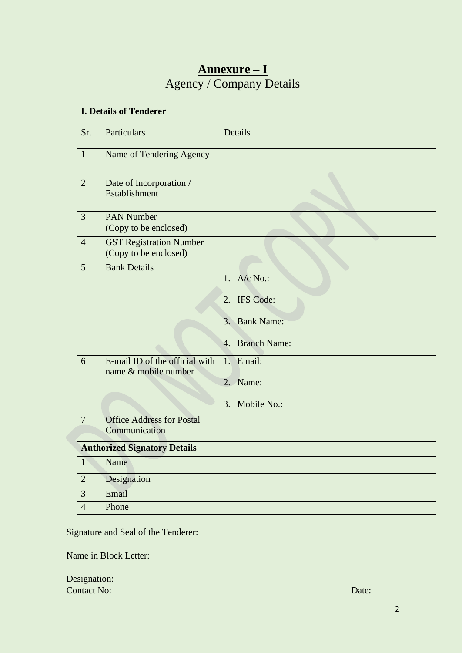## **Annexure – I** Agency / Company Details

| <b>I. Details of Tenderer</b>       |                                                         |                                                                   |  |  |
|-------------------------------------|---------------------------------------------------------|-------------------------------------------------------------------|--|--|
| <u>Sr.</u>                          | Particulars                                             | Details                                                           |  |  |
| $\mathbf{1}$                        | Name of Tendering Agency                                |                                                                   |  |  |
| $\overline{2}$                      | Date of Incorporation /<br>Establishment                |                                                                   |  |  |
| $\overline{3}$                      | <b>PAN Number</b><br>(Copy to be enclosed)              |                                                                   |  |  |
| $\overline{4}$                      | <b>GST Registration Number</b><br>(Copy to be enclosed) |                                                                   |  |  |
| 5                                   | <b>Bank Details</b>                                     | 1. $A/c$ No.:<br>2. IFS Code:<br>3. Bank Name:<br>4. Branch Name: |  |  |
| 6                                   | E-mail ID of the official with<br>name & mobile number  | 1. Email:<br>2. Name:<br>Mobile No.:<br>3.                        |  |  |
| $\overline{7}$                      | <b>Office Address for Postal</b><br>Communication       |                                                                   |  |  |
| <b>Authorized Signatory Details</b> |                                                         |                                                                   |  |  |
| $\overline{1}$                      | Name                                                    |                                                                   |  |  |
| $\overline{2}$                      | Designation                                             |                                                                   |  |  |
| $\overline{3}$                      | Email                                                   |                                                                   |  |  |
| $\overline{4}$                      | Phone                                                   |                                                                   |  |  |

Signature and Seal of the Tenderer:

Name in Block Letter:

Designation: **Contact No:** Date: Date: Date: Date: Date: Date: Date: Date: Date: Date: Date: Date: Date: Date: Date: Date: Date: Date: Date: Date: Date: Date: Date: Date: Date: Date: Date: Date: Date: Date: Date: Date: Date: Date: Date